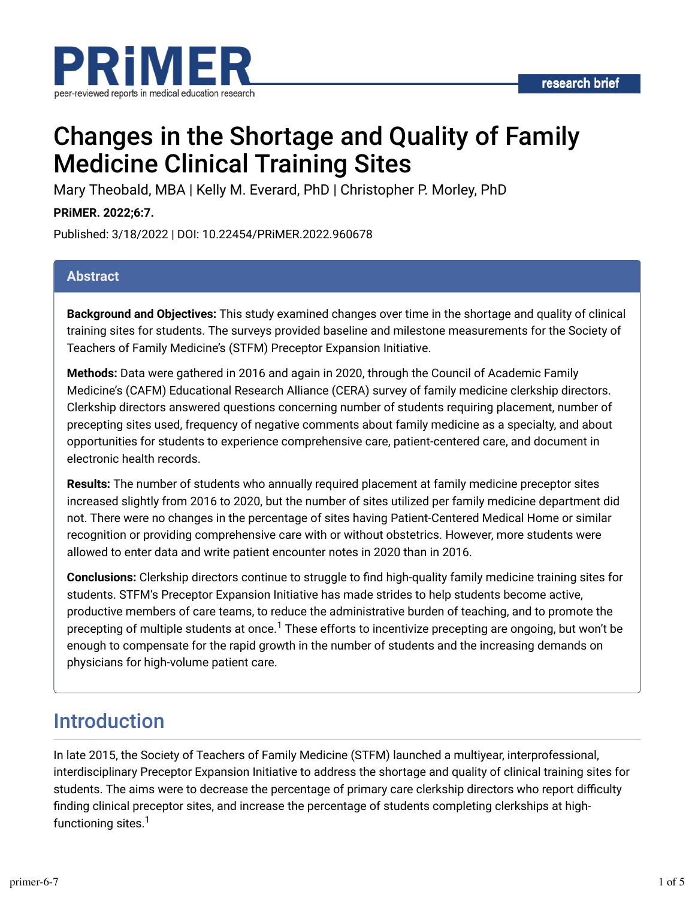



# Changes in the Shortage and Quality of Family Medicine Clinical Training Sites

Mary Theobald, MBA | Kelly M. Everard, PhD | Christopher P. Morley, PhD

**PRiMER. 2022;6:7.**

Published: 3/18/2022 | DOI: 10.22454/PRiMER.2022.960678

### **Abstract**

**Background and Objectives:** This study examined changes over time in the shortage and quality of clinical training sites for students. The surveys provided baseline and milestone measurements for the Society of Teachers of Family Medicine's (STFM) Preceptor Expansion Initiative.

**Methods:** Data were gathered in 2016 and again in 2020, through the Council of Academic Family Medicine's (CAFM) Educational Research Alliance (CERA) survey of family medicine clerkship directors. Clerkship directors answered questions concerning number of students requiring placement, number of precepting sites used, frequency of negative comments about family medicine as a specialty, and about opportunities for students to experience comprehensive care, patient-centered care, and document in electronic health records.

**Results:** The number of students who annually required placement at family medicine preceptor sites increased slightly from 2016 to 2020, but the number of sites utilized per family medicine department did not. There were no changes in the percentage of sites having Patient-Centered Medical Home or similar recognition or providing comprehensive care with or without obstetrics. However, more students were allowed to enter data and write patient encounter notes in 2020 than in 2016.

**Conclusions:** Clerkship directors continue to struggle to find high-quality family medicine training sites for students. STFM's Preceptor Expansion Initiative has made strides to help students become active, productive members of care teams, to reduce the administrative burden of teaching, and to promote the precepting of multiple students at once.<sup>1</sup> These efforts to incentivize precepting are ongoing, but won't be enough to compensate for the rapid growth in the number of students and the increasing demands on physicians for high-volume patient care.

## Introduction

In late 2015, the Society of Teachers of Family Medicine (STFM) launched a multiyear, interprofessional, interdisciplinary Preceptor Expansion Initiative to address the shortage and quality of clinical training sites for students. The aims were to decrease the percentage of primary care clerkship directors who report difficulty finding clinical preceptor sites, and increase the percentage of students completing clerkships at highfunctioning sites. 1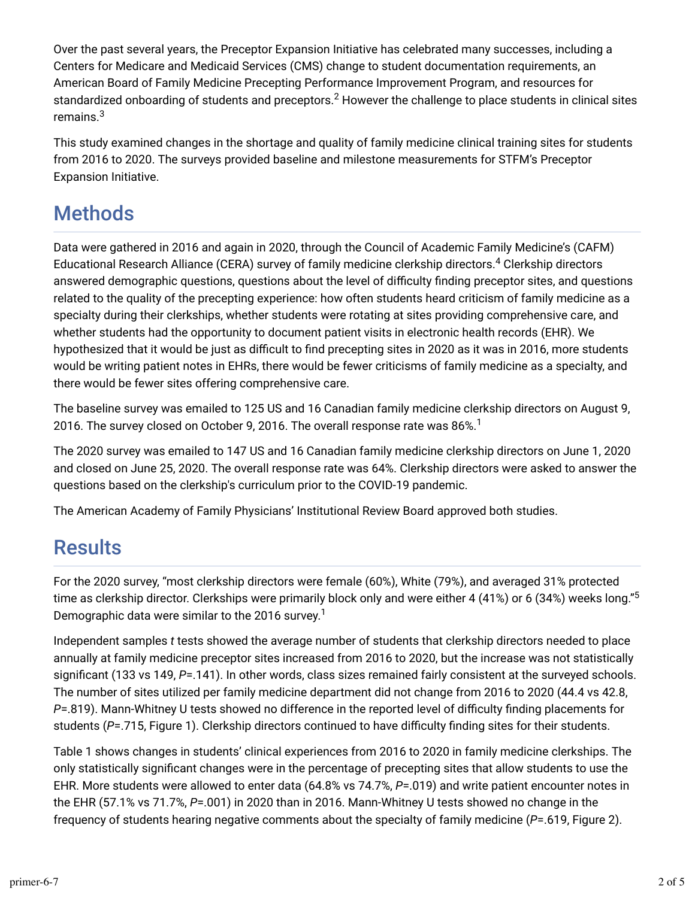Over the past several years, the Preceptor Expansion Initiative has celebrated many successes, including a Centers for Medicare and Medicaid Services (CMS) change to student documentation requirements, an American Board of Family Medicine Precepting Performance Improvement Program, and resources for standardized onboarding of students and preceptors. $^2$  However the challenge to place students in clinical sites remains. 3

This study examined changes in the shortage and quality of family medicine clinical training sites for students from 2016 to 2020. The surveys provided baseline and milestone measurements for STFM's Preceptor Expansion Initiative.

## **Methods**

Data were gathered in 2016 and again in 2020, through the Council of Academic Family Medicine's (CAFM) Educational Research Alliance (CERA) survey of family medicine clerkship directors.<sup>4</sup> Clerkship directors answered demographic questions, questions about the level of difficulty finding preceptor sites, and questions related to the quality of the precepting experience: how often students heard criticism of family medicine as a specialty during their clerkships, whether students were rotating at sites providing comprehensive care, and whether students had the opportunity to document patient visits in electronic health records (EHR). We hypothesized that it would be just as difficult to find precepting sites in 2020 as it was in 2016, more students would be writing patient notes in EHRs, there would be fewer criticisms of family medicine as a specialty, and there would be fewer sites offering comprehensive care.

The baseline survey was emailed to 125 US and 16 Canadian family medicine clerkship directors on August 9, 2016. The survey closed on October 9, 2016. The overall response rate was 86%. $^{\rm 1}$ 

The 2020 survey was emailed to 147 US and 16 Canadian family medicine clerkship directors on June 1, 2020 and closed on June 25, 2020. The overall response rate was 64%. Clerkship directors were asked to answer the questions based on the clerkship's curriculum prior to the COVID-19 pandemic.

The American Academy of Family Physicians' Institutional Review Board approved both studies.

## **Results**

For the 2020 survey, "most clerkship directors were female (60%), White (79%), and averaged 31% protected time as clerkship director. Clerkships were primarily block only and were either 4 (41%) or 6 (34%) weeks long."<sup>5</sup> Demographic data were similar to the 2016 survey. 1

Independent samples *t* tests showed the average number of students that clerkship directors needed to place annually at family medicine preceptor sites increased from 2016 to 2020, but the increase was not statistically significant (133 vs 149, P=.141). In other words, class sizes remained fairly consistent at the surveyed schools. The number of sites utilized per family medicine department did not change from 2016 to 2020 (44.4 vs 42.8, *P*=.819). Mann-Whitney U tests showed no difference in the reported level of difficulty finding placements for students (P=.715, Figure 1). Clerkship directors continued to have difficulty finding sites for their students.

Table 1 shows changes in students' clinical experiences from 2016 to 2020 in family medicine clerkships. The only statistically significant changes were in the percentage of precepting sites that allow students to use the EHR. More students were allowed to enter data (64.8% vs 74.7%, *P*=.019) and write patient encounter notes in the EHR (57.1% vs 71.7%, *P*=.001) in 2020 than in 2016. Mann-Whitney U tests showed no change in the frequency of students hearing negative comments about the specialty of family medicine (*P*=.619, Figure 2).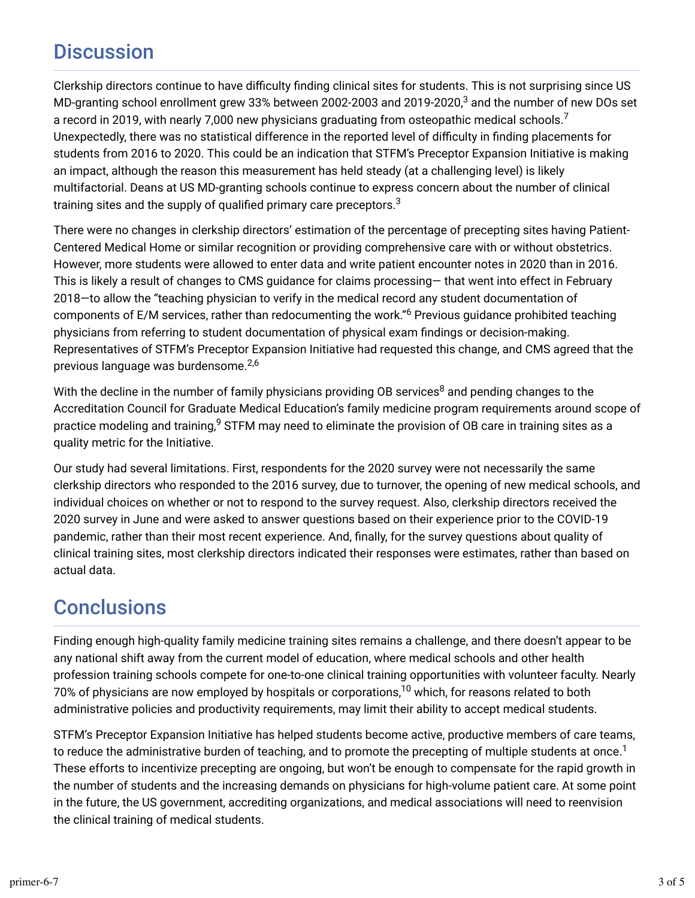## **Discussion**

Clerkship directors continue to have difficulty finding clinical sites for students. This is not surprising since US MD-granting school enrollment grew 33% between 2002-2003 and 2019-2020, $^3$  and the number of new DOs set a record in 2019, with nearly 7,000 new physicians graduating from osteopathic medical schools.<sup>7</sup> Unexpectedly, there was no statistical difference in the reported level of difficulty in finding placements for students from 2016 to 2020. This could be an indication that STFM's Preceptor Expansion Initiative is making an impact, although the reason this measurement has held steady (at a challenging level) is likely multifactorial. Deans at US MD-granting schools continue to express concern about the number of clinical training sites and the supply of qualified primary care preceptors. $^3$ 

There were no changes in clerkship directors' estimation of the percentage of precepting sites having Patient-Centered Medical Home or similar recognition or providing comprehensive care with or without obstetrics. However, more students were allowed to enter data and write patient encounter notes in 2020 than in 2016. This is likely a result of changes to CMS guidance for claims processing— that went into effect in February 2018—to allow the "teaching physician to verify in the medical record any student documentation of components of E/M services, rather than redocumenting the work."<sup>6</sup> Previous guidance prohibited teaching physicians from referring to student documentation of physical exam findings or decision-making. Representatives of STFM's Preceptor Expansion Initiative had requested this change, and CMS agreed that the previous language was burdensome.<sup>2,6</sup>

With the decline in the number of family physicians providing OB services $^8$  and pending changes to the Accreditation Council for Graduate Medical Education's family medicine program requirements around scope of practice modeling and training, $^9$  STFM may need to eliminate the provision of OB care in training sites as a quality metric for the Initiative.

Our study had several limitations. First, respondents for the 2020 survey were not necessarily the same clerkship directors who responded to the 2016 survey, due to turnover, the opening of new medical schools, and individual choices on whether or not to respond to the survey request. Also, clerkship directors received the 2020 survey in June and were asked to answer questions based on their experience prior to the COVID-19 pandemic, rather than their most recent experience. And, finally, for the survey questions about quality of clinical training sites, most clerkship directors indicated their responses were estimates, rather than based on actual data.

## **Conclusions**

Finding enough high-quality family medicine training sites remains a challenge, and there doesn't appear to be any national shift away from the current model of education, where medical schools and other health profession training schools compete for one-to-one clinical training opportunities with volunteer faculty. Nearly 70% of physicians are now employed by hospitals or corporations, $^\mathrm{10}$  which, for reasons related to both administrative policies and productivity requirements, may limit their ability to accept medical students.

STFM's Preceptor Expansion Initiative has helped students become active, productive members of care teams, to reduce the administrative burden of teaching, and to promote the precepting of multiple students at once.<sup>1</sup> These efforts to incentivize precepting are ongoing, but won't be enough to compensate for the rapid growth in the number of students and the increasing demands on physicians for high-volume patient care. At some point in the future, the US government, accrediting organizations, and medical associations will need to reenvision the clinical training of medical students.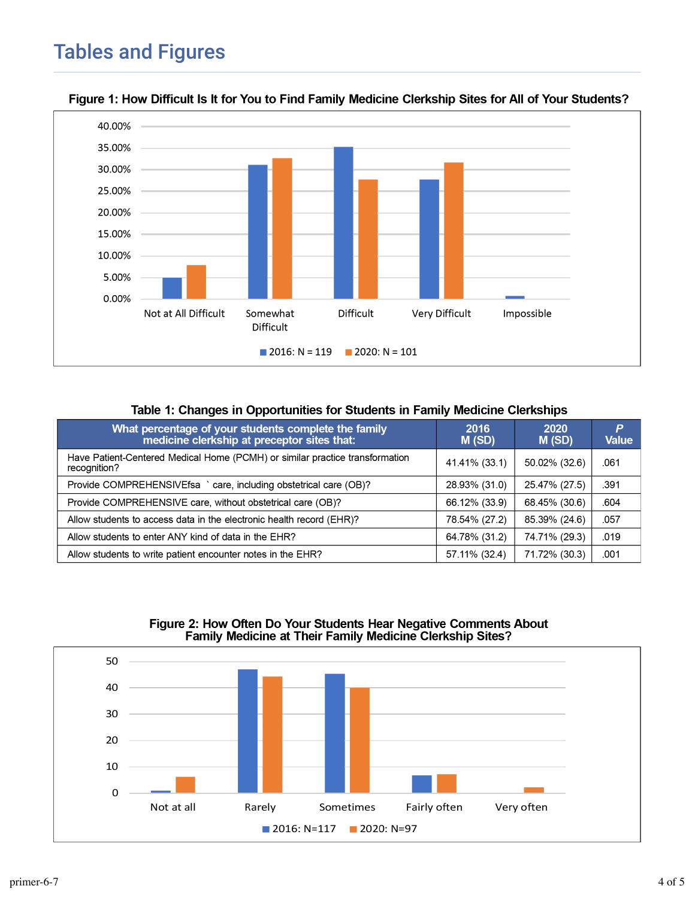

#### Figure 1: How Difficult Is It for You to Find Family Medicine Clerkship Sites for All of Your Students?

#### Table 1: Changes in Opportunities for Students in Family Medicine Clerkships

| What percentage of your students complete the family<br>medicine clerkship at preceptor sites that: | 2016<br>M(SD) | 2020<br>M(SD) | P<br><b>Value</b> |
|-----------------------------------------------------------------------------------------------------|---------------|---------------|-------------------|
| Have Patient-Centered Medical Home (PCMH) or similar practice transformation<br>recognition?        | 41.41% (33.1) | 50.02% (32.6) | .061              |
| Provide COMPREHENSIVEfsa ` care, including obstetrical care (OB)?                                   | 28.93% (31.0) | 25.47% (27.5) | .391              |
| Provide COMPREHENSIVE care, without obstetrical care (OB)?                                          | 66.12% (33.9) | 68.45% (30.6) | .604              |
| Allow students to access data in the electronic health record (EHR)?                                | 78.54% (27.2) | 85.39% (24.6) | .057              |
| Allow students to enter ANY kind of data in the EHR?                                                | 64.78% (31.2) | 74.71% (29.3) | .019              |
| Allow students to write patient encounter notes in the EHR?                                         | 57.11% (32.4) | 71.72% (30.3) | .001              |